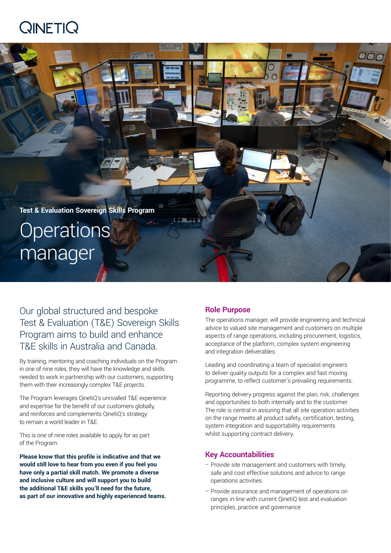# $Q$ INETI $Q$



Our global structured and bespoke Test & Evaluation (T&E) Sovereign Skills Program aims to build and enhance T&E skills in Australia and Canada.

By training, mentoring and coaching individuals on the Program in one of nine roles, they will have the knowledge and skills needed to work in partnership with our customers, supporting them with their increasingly complex T&E projects.

The Program leverages QinetiQ's unrivalled T&E experience and expertise for the benefit of our customers globally, and reinforces and complements QinetiQ's strategy to remain a world leader in T&E.

This is one of nine roles available to apply for as part of the Program.

**Please know that this profile is indicative and that we would still love to hear from you even if you feel you have only a partial skill match. We promote a diverse and inclusive culture and will support you to build the additional T&E skills you'll need for the future, as part of our innovative and highly experienced teams.**

## **Role Purpose**

The operations manager, will provide engineering and technical advice to valued site management and customers on multiple aspects of range operations, including procurement, logistics, acceptance of the platform, complex system engineering and integration deliverables.

Leading and coordinating a team of specialist engineers to deliver quality outputs for a complex and fast moving programme, to reflect customer's prevailing requirements.

Reporting delivery progress against the plan, risk, challenges and opportunities to both internally and to the customer. The role is central in assuring that all site operation activities on the range meets all product safety, certification, testing, system integration and supportability requirements whilst supporting contract delivery.

## **Key Accountabilities**

- Provide site management and customers with timely, safe and cost effective solutions and advice to range operations activities
- Provide assurance and management of operations on ranges in-line with current QinetiQ test and evaluation principles, practice and governance